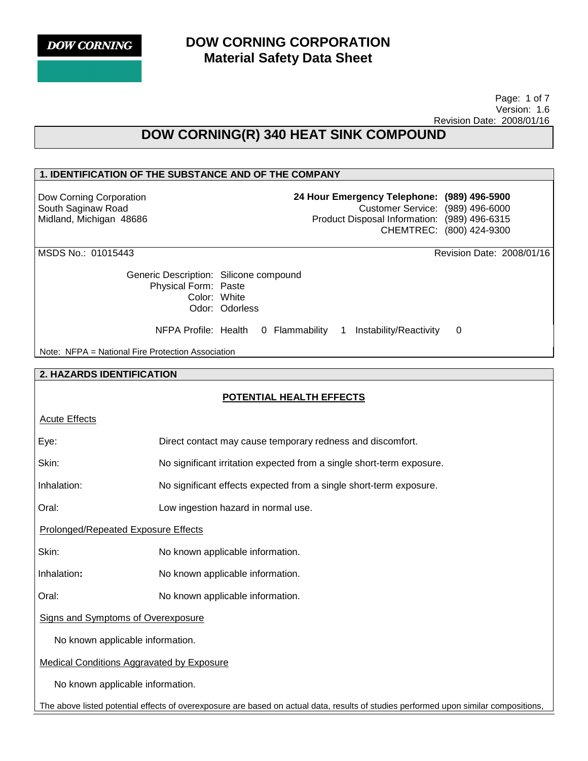**DOW CORNING** 

## **DOW CORNING CORPORATION Material Safety Data Sheet**

 Page: 1 of 7 Version: 1.6 Revision Date: 2008/01/16

# **DOW CORNING(R) 340 HEAT SINK COMPOUND**

## **1. IDENTIFICATION OF THE SUBSTANCE AND OF THE COMPANY**

Dow Corning Corporation South Saginaw Road Midland, Michigan 48686 **24 Hour Emergency Telephone: (989) 496-5900** Customer Service: (989) 496-6000 Product Disposal Information: (989) 496-6315 CHEMTREC: (800) 424-9300

MSDS No.: 01015443 Revision Date: 2008/01/16

Generic Description: Silicone compound Physical Form: Paste Color: White Odor: Odorless

NFPA Profile: Health 0 Flammability 1 Instability/Reactivity 0

Note: NFPA = National Fire Protection Association

### **2. HAZARDS IDENTIFICATION**

## **POTENTIAL HEALTH EFFECTS**

### Acute Effects

Eye: Direct contact may cause temporary redness and discomfort.

Skin: No significant irritation expected from a single short-term exposure.

Inhalation: No significant effects expected from a single short-term exposure.

Oral: Low ingestion hazard in normal use.

Prolonged/Repeated Exposure Effects

Skin: No known applicable information.

Inhalation**:** No known applicable information.

Oral: No known applicable information.

Signs and Symptoms of Overexposure

No known applicable information.

Medical Conditions Aggravated by Exposure

No known applicable information.

The above listed potential effects of overexposure are based on actual data, results of studies performed upon similar compositions,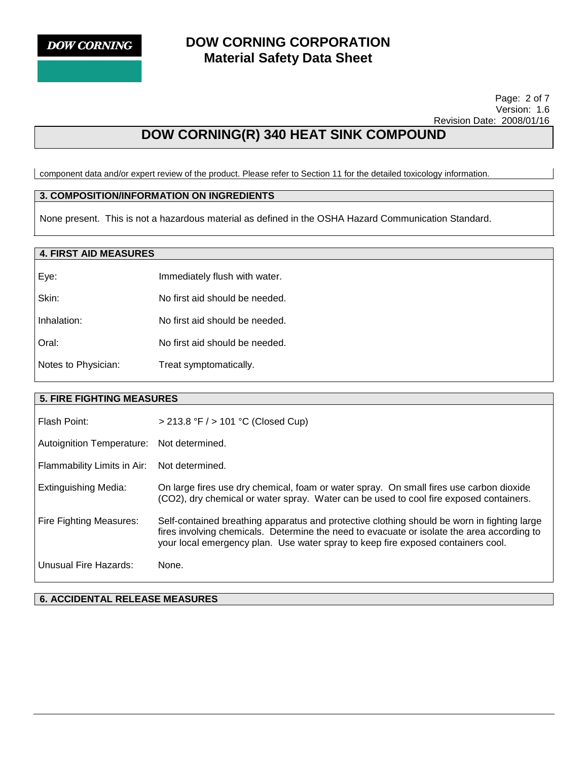

 Page: 2 of 7 Version: 1.6 Revision Date: 2008/01/16

# **DOW CORNING(R) 340 HEAT SINK COMPOUND**

component data and/or expert review of the product. Please refer to Section 11 for the detailed toxicology information.

## **3. COMPOSITION/INFORMATION ON INGREDIENTS**

None present. This is not a hazardous material as defined in the OSHA Hazard Communication Standard.

## **4. FIRST AID MEASURES**

| Eye:                | Immediately flush with water.  |
|---------------------|--------------------------------|
| Skin:               | No first aid should be needed. |
| Inhalation:         | No first aid should be needed. |
| Oral:               | No first aid should be needed. |
| Notes to Physician: | Treat symptomatically.         |

### **5. FIRE FIGHTING MEASURES**

| Flash Point:                | > 213.8 °F / > 101 °C (Closed Cup)                                                                                                                                                                                                                                            |
|-----------------------------|-------------------------------------------------------------------------------------------------------------------------------------------------------------------------------------------------------------------------------------------------------------------------------|
| Autoignition Temperature:   | Not determined.                                                                                                                                                                                                                                                               |
| Flammability Limits in Air: | Not determined.                                                                                                                                                                                                                                                               |
| Extinguishing Media:        | On large fires use dry chemical, foam or water spray. On small fires use carbon dioxide<br>(CO2), dry chemical or water spray. Water can be used to cool fire exposed containers.                                                                                             |
| Fire Fighting Measures:     | Self-contained breathing apparatus and protective clothing should be worn in fighting large<br>fires involving chemicals. Determine the need to evacuate or isolate the area according to<br>your local emergency plan. Use water spray to keep fire exposed containers cool. |
| Unusual Fire Hazards:       | None.                                                                                                                                                                                                                                                                         |

**6. ACCIDENTAL RELEASE MEASURES**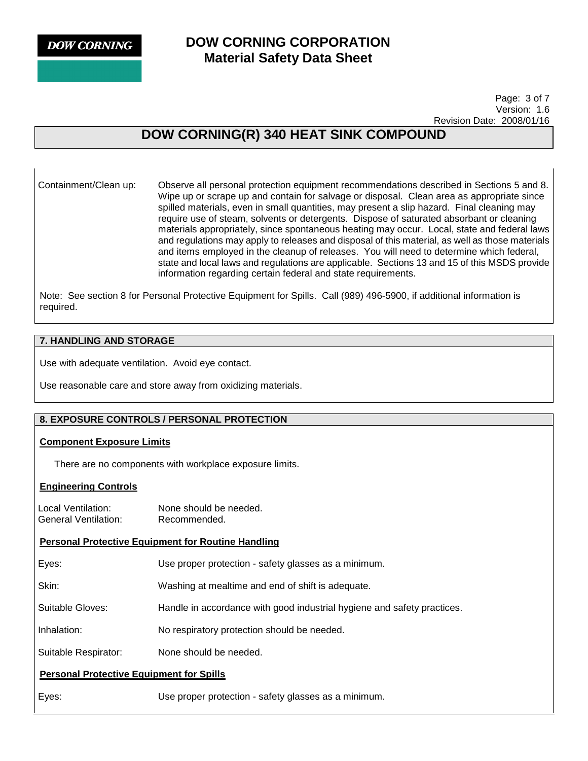**DOW CORNING** 

## **DOW CORNING CORPORATION Material Safety Data Sheet**

 Page: 3 of 7 Version: 1.6 Revision Date: 2008/01/16

# **DOW CORNING(R) 340 HEAT SINK COMPOUND**

Containment/Clean up: Observe all personal protection equipment recommendations described in Sections 5 and 8. Wipe up or scrape up and contain for salvage or disposal. Clean area as appropriate since spilled materials, even in small quantities, may present a slip hazard. Final cleaning may require use of steam, solvents or detergents. Dispose of saturated absorbant or cleaning materials appropriately, since spontaneous heating may occur. Local, state and federal laws and regulations may apply to releases and disposal of this material, as well as those materials and items employed in the cleanup of releases. You will need to determine which federal, state and local laws and regulations are applicable. Sections 13 and 15 of this MSDS provide information regarding certain federal and state requirements.

Note: See section 8 for Personal Protective Equipment for Spills. Call (989) 496-5900, if additional information is required.

## **7. HANDLING AND STORAGE**

Use with adequate ventilation. Avoid eye contact.

Use reasonable care and store away from oxidizing materials.

## **8. EXPOSURE CONTROLS / PERSONAL PROTECTION**

## **Component Exposure Limits**

There are no components with workplace exposure limits.

## **Engineering Controls**

Local Ventilation: None should be needed. General Ventilation: Recommended.

## **Personal Protective Equipment for Routine Handling**

| Eyes:            | Use proper protection - safety glasses as a minimum.                    |
|------------------|-------------------------------------------------------------------------|
| Skin:            | Washing at mealtime and end of shift is adequate.                       |
| Suitable Gloves: | Handle in accordance with good industrial hygiene and safety practices. |

Inhalation: No respiratory protection should be needed.

Suitable Respirator: None should be needed.

## **Personal Protective Equipment for Spills**

Eyes: Use proper protection - safety glasses as a minimum.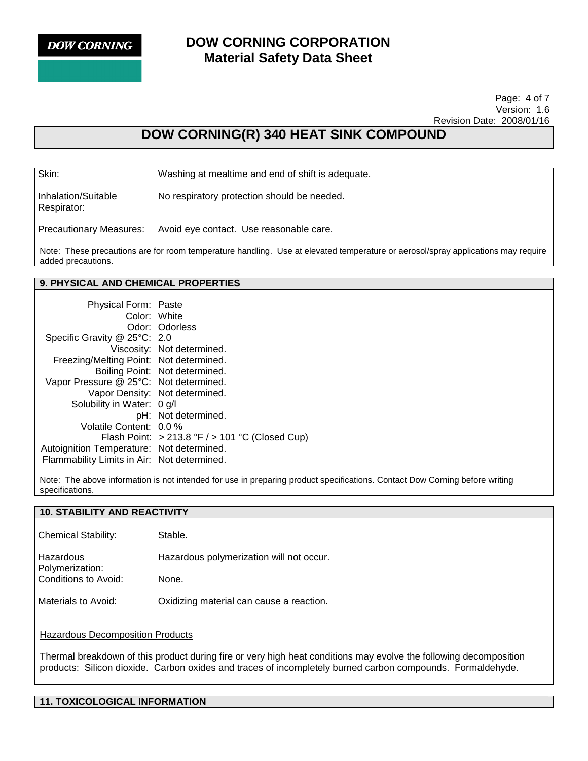

#### Page: 4 of 7 Version: 1.6 Revision Date: 2008/01/16

# **DOW CORNING(R) 340 HEAT SINK COMPOUND**

Skin: Washing at mealtime and end of shift is adequate.

Inhalation/Suitable Respirator: No respiratory protection should be needed.

Precautionary Measures: Avoid eye contact. Use reasonable care.

Note: These precautions are for room temperature handling. Use at elevated temperature or aerosol/spray applications may require added precautions.

## **9. PHYSICAL AND CHEMICAL PROPERTIES**

| <b>Physical Form: Paste</b>                 |                                                    |
|---------------------------------------------|----------------------------------------------------|
| Color: White                                |                                                    |
|                                             | Odor: Odorless                                     |
| Specific Gravity @ 25°C: 2.0                |                                                    |
|                                             | Viscosity: Not determined.                         |
| Freezing/Melting Point: Not determined.     |                                                    |
|                                             | Boiling Point: Not determined.                     |
| Vapor Pressure @ 25°C: Not determined.      |                                                    |
|                                             | Vapor Density: Not determined.                     |
| Solubility in Water: 0 g/l                  |                                                    |
|                                             | pH: Not determined.                                |
| Volatile Content: 0.0 %                     |                                                    |
|                                             | Flash Point: $>213.8$ °F $/$ > 101 °C (Closed Cup) |
| Autoignition Temperature: Not determined.   |                                                    |
| Flammability Limits in Air: Not determined. |                                                    |

Note: The above information is not intended for use in preparing product specifications. Contact Dow Corning before writing specifications.

| <b>10. STABILITY AND REACTIVITY</b>     |                                          |  |
|-----------------------------------------|------------------------------------------|--|
| <b>Chemical Stability:</b>              | Stable.                                  |  |
| Hazardous<br>Polymerization:            | Hazardous polymerization will not occur. |  |
| Conditions to Avoid:                    | None.                                    |  |
| Materials to Avoid:                     | Oxidizing material can cause a reaction. |  |
| <b>Hazardous Decomposition Products</b> |                                          |  |

Thermal breakdown of this product during fire or very high heat conditions may evolve the following decomposition products: Silicon dioxide. Carbon oxides and traces of incompletely burned carbon compounds. Formaldehyde.

## **11. TOXICOLOGICAL INFORMATION**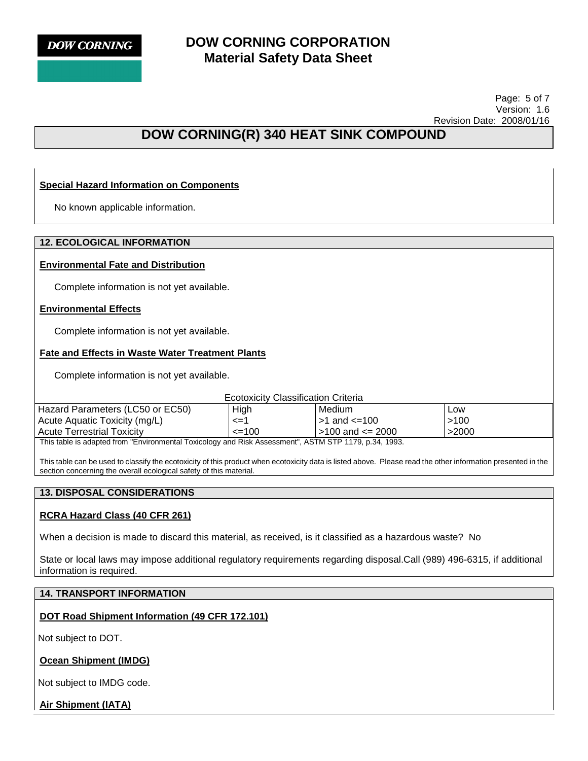

 Page: 5 of 7 Version: 1.6 Revision Date: 2008/01/16

# **DOW CORNING(R) 340 HEAT SINK COMPOUND**

## **Special Hazard Information on Components**

No known applicable information.

## **12. ECOLOGICAL INFORMATION**

### **Environmental Fate and Distribution**

Complete information is not yet available.

### **Environmental Effects**

Complete information is not yet available.

### **Fate and Effects in Waste Water Treatment Plants**

Complete information is not yet available.

#### Ecotoxicity Classification Criteria

| Hazard Parameters (LC50 or EC50)                                                                       | High   | Medium                 | Low   |
|--------------------------------------------------------------------------------------------------------|--------|------------------------|-------|
| Acute Aquatic Toxicity (mg/L)                                                                          | <=′    | $\mid$ >1 and <=100    | >100  |
| <b>Acute Terrestrial Toxicity</b>                                                                      | $=100$ | $>100$ and $\leq$ 2000 | >2000 |
| This table is a dented from "Furthermore of Tarriaghermore dight Associated" ACTM CTD 4470 in 04, 4000 |        |                        |       |

This table is adapted from "Environmental Toxicology and Risk Assessment", ASTM STP 1179, p.34, 1993.

This table can be used to classify the ecotoxicity of this product when ecotoxicity data is listed above. Please read the other information presented in the section concerning the overall ecological safety of this material.

## **13. DISPOSAL CONSIDERATIONS**

## **RCRA Hazard Class (40 CFR 261)**

When a decision is made to discard this material, as received, is it classified as a hazardous waste? No

State or local laws may impose additional regulatory requirements regarding disposal.Call (989) 496-6315, if additional information is required.

## **14. TRANSPORT INFORMATION**

## **DOT Road Shipment Information (49 CFR 172.101)**

Not subject to DOT.

## **Ocean Shipment (IMDG)**

Not subject to IMDG code.

**Air Shipment (IATA)**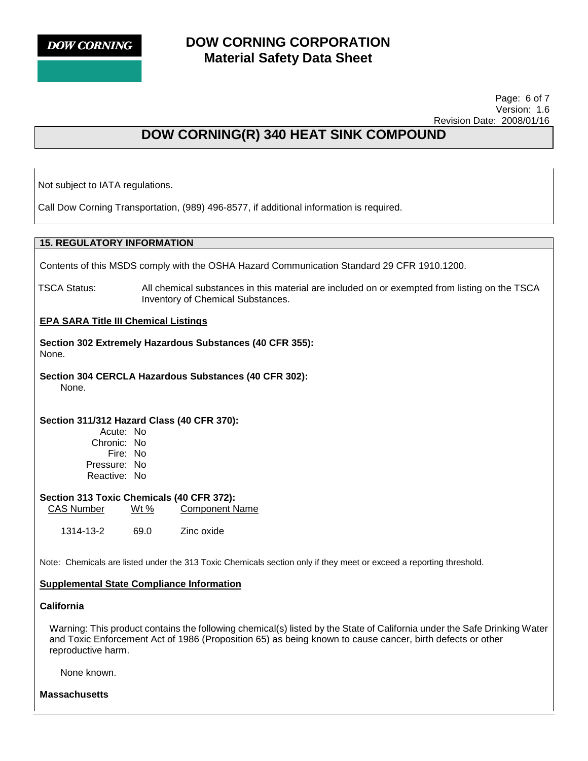**DOW CORNING** 

## **DOW CORNING CORPORATION Material Safety Data Sheet**

 Page: 6 of 7 Version: 1.6 Revision Date: 2008/01/16

# **DOW CORNING(R) 340 HEAT SINK COMPOUND**

Not subject to IATA regulations.

Call Dow Corning Transportation, (989) 496-8577, if additional information is required.

## **15. REGULATORY INFORMATION**

Contents of this MSDS comply with the OSHA Hazard Communication Standard 29 CFR 1910.1200.

TSCA Status: All chemical substances in this material are included on or exempted from listing on the TSCA Inventory of Chemical Substances.

### **EPA SARA Title III Chemical Listings**

**Section 302 Extremely Hazardous Substances (40 CFR 355):**  None.

**Section 304 CERCLA Hazardous Substances (40 CFR 302):**  None.

### **Section 311/312 Hazard Class (40 CFR 370):**

Acute: No Chronic: No Fire: No Pressure: No Reactive: No

## **Section 313 Toxic Chemicals (40 CFR 372):**

CAS Number Wt % Component Name

1314-13-2 69.0 Zinc oxide

Note: Chemicals are listed under the 313 Toxic Chemicals section only if they meet or exceed a reporting threshold.

### **Supplemental State Compliance Information**

### **California**

Warning: This product contains the following chemical(s) listed by the State of California under the Safe Drinking Water and Toxic Enforcement Act of 1986 (Proposition 65) as being known to cause cancer, birth defects or other reproductive harm.

None known.

**Massachusetts**